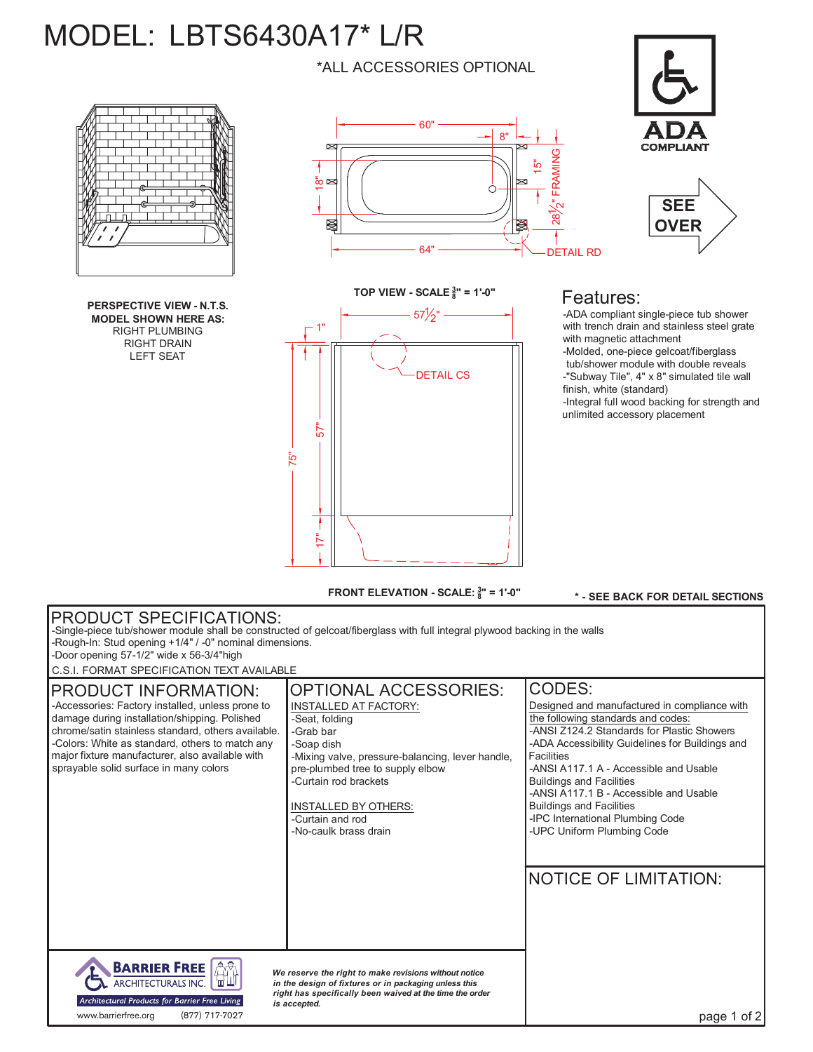## MODEL: LBTS6430A17\* L/R

\*ALL ACCESSORIES OPTIONAL

60"

 $\approx$ 

☀





## Features:

15"

<u>ින්</u>  $2$ " FRA

9<br>MIN

8"

64" DETAIL RD

-ADA compliant single-piece tub shower with trench drain and stainless steel grate with magnetic attachment -Molded, one-piece gelcoat/fiberglass tub/shower module with double reveals -"Subway Tile", 4" x 8" simulated tile wall finish, white (standard) -Integral full wood backing for strength and unlimited accessory placement



DETAIL CS 1"  $\bar{5}$ 75" 57 $\frac{1}{2}$ " **TOP VIEW - SCALE <sup>3</sup> 8" = 1'-0"** 57"

**FRONT ELEVATION - SCALE: <sup>3</sup> 8" = 1'-0"**

**\* - SEE BACK FOR DETAIL SECTIONS**

## PRODUCT SPECIFICATIONS: -Single-piece tub/shower module shall be constructed of gelcoat/fiberglass with full integral plywood backing in the walls -Rough-In: Stud opening +1/4" / -0" nominal dimensions. -Door opening 57-1/2" wide x 56-3/4"high C.S.I. FORMAT SPECIFICATION TEXT AVAILABLE OPTIONAL ACCESSORIES: CODES: PRODUCT INFORMATION: -Accessories: Factory installed, unless prone to INSTALLED AT FACTORY: Designed and manufactured in compliance with damage during installation/shipping. Polished -Seat, folding the following standards and codes: chrome/satin stainless standard, others available. -Grab bar -ANSI Z124.2 Standards for Plastic Showers -Colors: White as standard, others to match any -ADA Accessibility Guidelines for Buildings and -Soap dish major fixture manufacturer, also available with Facilities -Mixing valve, pressure-balancing, lever handle, sprayable solid surface in many colors -ANSI A117.1 A - Accessible and Usable pre-plumbed tree to supply elbow Buildings and Facilities -Curtain rod brackets -ANSI A117.1 B - Accessible and Usable INSTALLED BY OTHERS: Buildings and Facilities -Curtain and rod -IPC International Plumbing Code -No-caulk brass drain -UPC Uniform Plumbing Code NOTICE OF LIMITATION: **BARRIER FREE** *We reserve the right to make revisions without notice* ARCHITECTURALS INC. in the design of fixtures or in packaging unless this<br>right has specifically been waived at the time the order Architectural Products for Barrier Free Living *is accepted.* www.barrierfree.org (877) 717-7027page 1 of 2